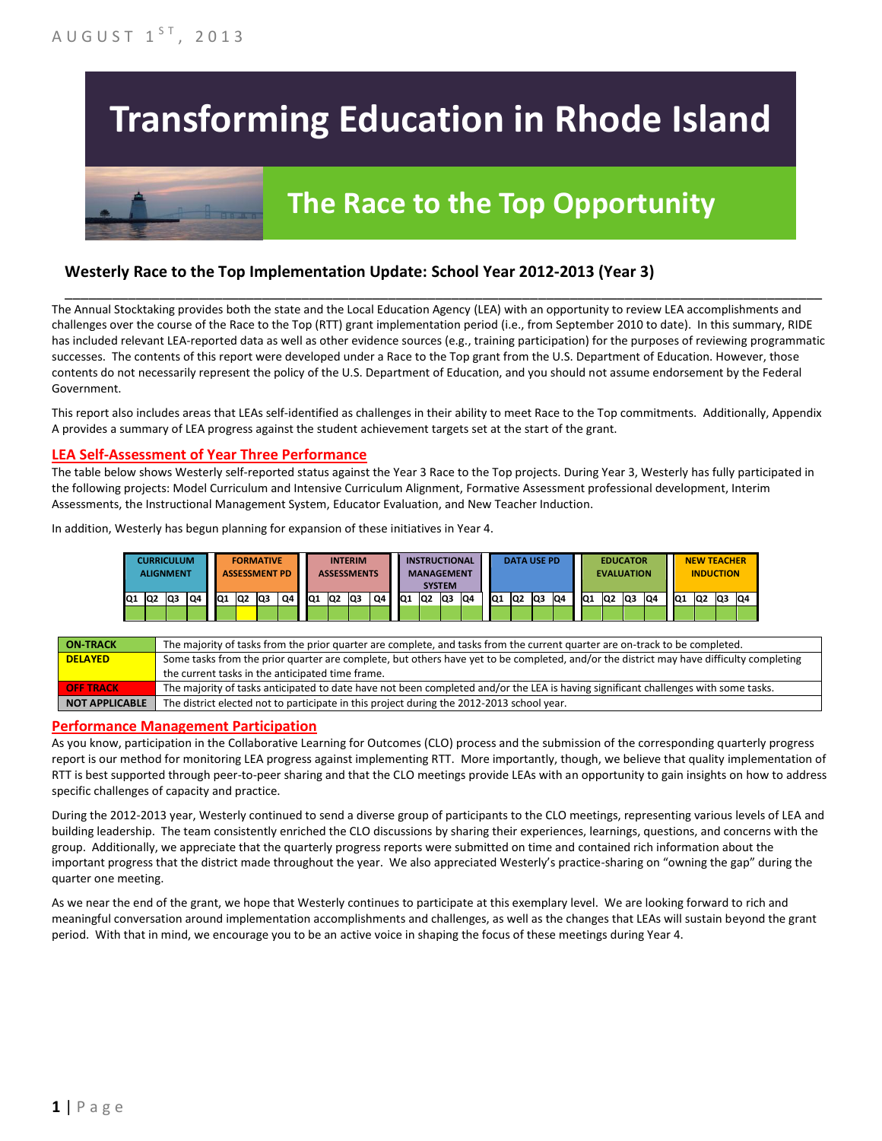# **Transforming Education in Rhode Island**

# **The Race to the Top Opportunity**

### **Westerly Race to the Top Implementation Update: School Year 2012-2013 (Year 3)**

The Annual Stocktaking provides both the state and the Local Education Agency (LEA) with an opportunity to review LEA accomplishments and challenges over the course of the Race to the Top (RTT) grant implementation period (i.e., from September 2010 to date). In this summary, RIDE has included relevant LEA-reported data as well as other evidence sources (e.g., training participation) for the purposes of reviewing programmatic successes. The contents of this report were developed under a Race to the Top grant from the U.S. Department of Education. However, those contents do not necessarily represent the policy of the U.S. Department of Education, and you should not assume endorsement by the Federal Government.

\_\_\_\_\_\_\_\_\_\_\_\_\_\_\_\_\_\_\_\_\_\_\_\_\_\_\_\_\_\_\_\_\_\_\_\_\_\_\_\_\_\_\_\_\_\_\_\_\_\_\_\_\_\_\_\_\_\_\_\_\_\_\_\_\_\_\_\_\_\_\_\_\_\_\_\_\_\_\_\_\_\_\_\_\_\_\_\_\_\_\_\_\_\_\_\_

This report also includes areas that LEAs self-identified as challenges in their ability to meet Race to the Top commitments. Additionally, Appendix A provides a summary of LEA progress against the student achievement targets set at the start of the grant.

#### **LEA Self-Assessment of Year Three Performance**

The table below shows Westerly self-reported status against the Year 3 Race to the Top projects. During Year 3, Westerly has fully participated in the following projects: Model Curriculum and Intensive Curriculum Alignment, Formative Assessment professional development, Interim Assessments, the Instructional Management System, Educator Evaluation, and New Teacher Induction.

In addition, Westerly has begun planning for expansion of these initiatives in Year 4.

|     | CURRICULUM<br>ALIGNMENT |     |    |    |                 | <b>FORMATIVE</b><br><b>ASSESSMENT PD</b> |    |     |    | <b>INTERIM</b><br><b>ASSESSMENTS</b> |    |     |    | <b>INSTRUCTIONAL</b><br><b>MANAGEMENT</b><br><b>SYSTEM</b> |     |                 |                | <b>DATA USE PD</b> |     |                 | <b>EVALUATION</b> | <b>EDUCATOR</b> |    |                 |    | <b>NEW TEACHER</b><br><b>INDUCTION</b> |    |
|-----|-------------------------|-----|----|----|-----------------|------------------------------------------|----|-----|----|--------------------------------------|----|-----|----|------------------------------------------------------------|-----|-----------------|----------------|--------------------|-----|-----------------|-------------------|-----------------|----|-----------------|----|----------------------------------------|----|
| IQ1 | Q2                      | IQ3 | Q4 | Q1 | lQ <sub>2</sub> | <b>Q3</b>                                | Q4 | IQ1 | Q2 | IQ3                                  | Q4 | IQ1 | Q2 | Q3                                                         | IQ4 | IQ <sub>1</sub> | Q <sub>2</sub> | lQ3                | IQ4 | IQ <sub>1</sub> | IQ <sub>2</sub>   | lQ3             | Q4 | IQ <sub>1</sub> | Q2 | Q3                                     | Q4 |
|     |                         |     |    |    |                 |                                          |    |     |    |                                      |    |     |    |                                                            |     |                 |                |                    |     |                 |                   |                 |    |                 |    |                                        |    |

| <b>ON TRACK</b>       | The majority of tasks from the prior quarter are complete, and tasks from the current quarter are on-track to be completed.             |
|-----------------------|-----------------------------------------------------------------------------------------------------------------------------------------|
| <b>DELAYED</b>        | Some tasks from the prior quarter are complete, but others have yet to be completed, and/or the district may have difficulty completing |
|                       | the current tasks in the anticipated time frame.                                                                                        |
| <b>OFF TRACK</b>      | The majority of tasks anticipated to date have not been completed and/or the LEA is having significant challenges with some tasks.      |
| <b>NOT APPLICABLE</b> | The district elected not to participate in this project during the 2012-2013 school year.                                               |

#### **Performance Management Participation**

As you know, participation in the Collaborative Learning for Outcomes (CLO) process and the submission of the corresponding quarterly progress report is our method for monitoring LEA progress against implementing RTT. More importantly, though, we believe that quality implementation of RTT is best supported through peer-to-peer sharing and that the CLO meetings provide LEAs with an opportunity to gain insights on how to address specific challenges of capacity and practice.

During the 2012-2013 year, Westerly continued to send a diverse group of participants to the CLO meetings, representing various levels of LEA and building leadership. The team consistently enriched the CLO discussions by sharing their experiences, learnings, questions, and concerns with the group. Additionally, we appreciate that the quarterly progress reports were submitted on time and contained rich information about the important progress that the district made throughout the year. We also appreciated Westerly's practice-sharing on "owning the gap" during the quarter one meeting.

As we near the end of the grant, we hope that Westerly continues to participate at this exemplary level. We are looking forward to rich and meaningful conversation around implementation accomplishments and challenges, as well as the changes that LEAs will sustain beyond the grant period. With that in mind, we encourage you to be an active voice in shaping the focus of these meetings during Year 4.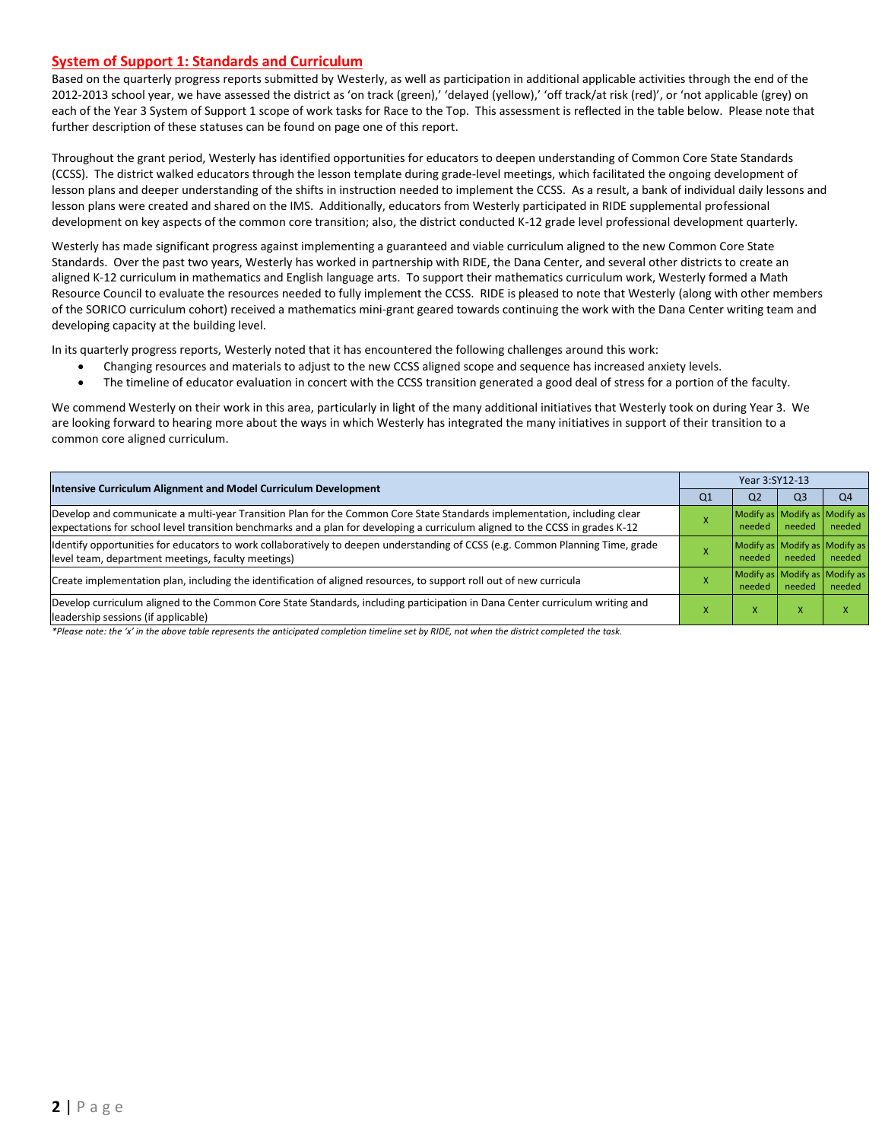#### **System of Support 1: Standards and Curriculum**

Based on the quarterly progress reports submitted by Westerly, as well as participation in additional applicable activities through the end of the 2012-2013 school year, we have assessed the district as 'on track (green),' 'delayed (yellow),' 'off track/at risk (red)', or 'not applicable (grey) on each of the Year 3 System of Support 1 scope of work tasks for Race to the Top. This assessment is reflected in the table below. Please note that further description of these statuses can be found on page one of this report.

Throughout the grant period, Westerly has identified opportunities for educators to deepen understanding of Common Core State Standards (CCSS). The district walked educators through the lesson template during grade-level meetings, which facilitated the ongoing development of lesson plans and deeper understanding of the shifts in instruction needed to implement the CCSS. As a result, a bank of individual daily lessons and lesson plans were created and shared on the IMS. Additionally, educators from Westerly participated in RIDE supplemental professional development on key aspects of the common core transition; also, the district conducted K-12 grade level professional development quarterly.

Westerly has made significant progress against implementing a guaranteed and viable curriculum aligned to the new Common Core State Standards. Over the past two years, Westerly has worked in partnership with RIDE, the Dana Center, and several other districts to create an aligned K-12 curriculum in mathematics and English language arts. To support their mathematics curriculum work, Westerly formed a Math Resource Council to evaluate the resources needed to fully implement the CCSS. RIDE is pleased to note that Westerly (along with other members of the SORICO curriculum cohort) received a mathematics mini-grant geared towards continuing the work with the Dana Center writing team and developing capacity at the building level.

In its quarterly progress reports, Westerly noted that it has encountered the following challenges around this work:

- Changing resources and materials to adjust to the new CCSS aligned scope and sequence has increased anxiety levels.
- The timeline of educator evaluation in concert with the CCSS transition generated a good deal of stress for a portion of the faculty.

We commend Westerly on their work in this area, particularly in light of the many additional initiatives that Westerly took on during Year 3. We are looking forward to hearing more about the ways in which Westerly has integrated the many initiatives in support of their transition to a common core aligned curriculum.

| <b>Intensive Curriculum Alignment and Model Curriculum Development</b>                                                                                                                                                                                    | Year 3:SY12-13 |                |                |                                         |  |  |
|-----------------------------------------------------------------------------------------------------------------------------------------------------------------------------------------------------------------------------------------------------------|----------------|----------------|----------------|-----------------------------------------|--|--|
|                                                                                                                                                                                                                                                           | Q <sub>1</sub> | Q <sub>2</sub> | Q <sub>3</sub> | Q <sub>4</sub>                          |  |  |
| Develop and communicate a multi-year Transition Plan for the Common Core State Standards implementation, including clear<br>expectations for school level transition benchmarks and a plan for developing a curriculum aligned to the CCSS in grades K-12 |                | needed         | needed         | Modify as Modify as Modify as<br>needed |  |  |
| Identify opportunities for educators to work collaboratively to deepen understanding of CCSS (e.g. Common Planning Time, grade<br>level team, department meetings, faculty meetings)                                                                      |                | needed         | needed         | Modify as Modify as Modify as<br>needed |  |  |
| Create implementation plan, including the identification of aligned resources, to support roll out of new curricula                                                                                                                                       |                | needed         | needed         | Modify as Modify as Modify as<br>needed |  |  |
| Develop curriculum aligned to the Common Core State Standards, including participation in Dana Center curriculum writing and<br>leadership sessions (if applicable)                                                                                       |                | X              | X              |                                         |  |  |

*\*Please note: the 'x' in the above table represents the anticipated completion timeline set by RIDE, not when the district completed the task.*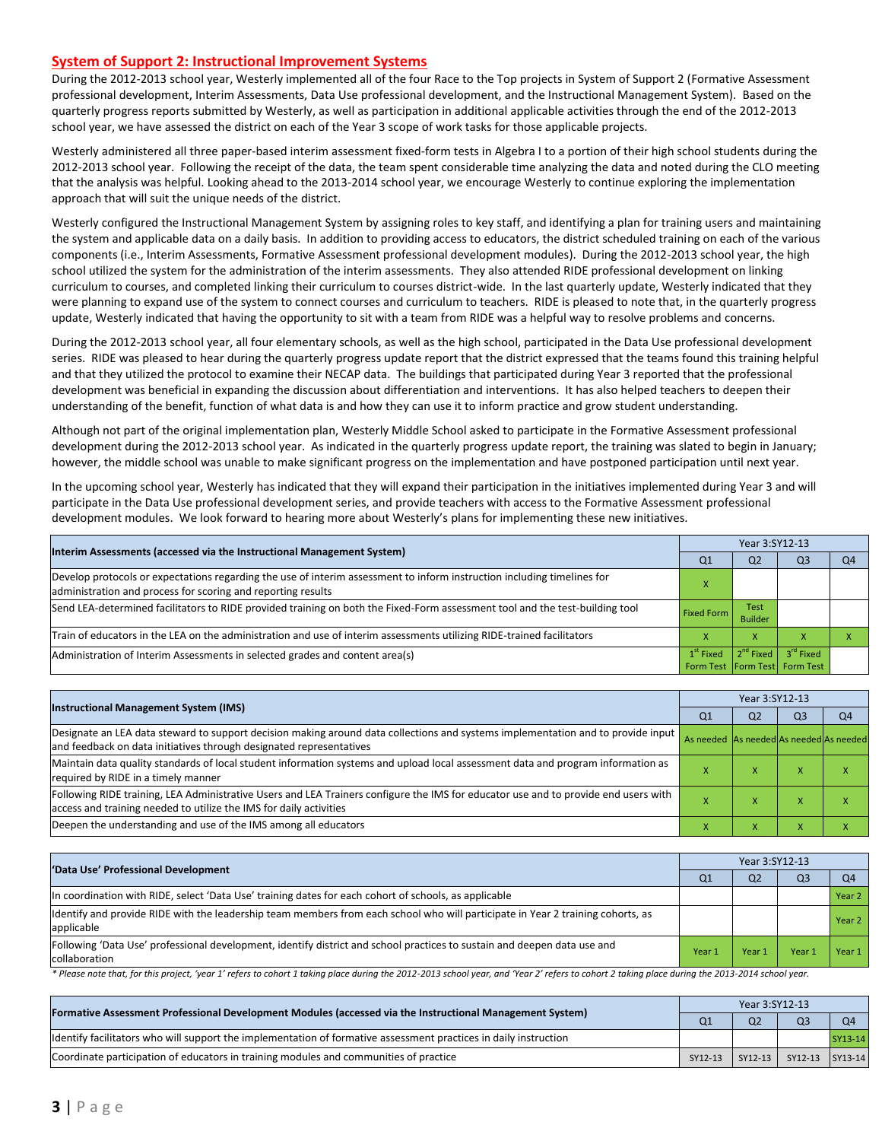#### **System of Support 2: Instructional Improvement Systems**

During the 2012-2013 school year, Westerly implemented all of the four Race to the Top projects in System of Support 2 (Formative Assessment professional development, Interim Assessments, Data Use professional development, and the Instructional Management System). Based on the quarterly progress reports submitted by Westerly, as well as participation in additional applicable activities through the end of the 2012-2013 school year, we have assessed the district on each of the Year 3 scope of work tasks for those applicable projects.

Westerly administered all three paper-based interim assessment fixed-form tests in Algebra I to a portion of their high school students during the 2012-2013 school year. Following the receipt of the data, the team spent considerable time analyzing the data and noted during the CLO meeting that the analysis was helpful. Looking ahead to the 2013-2014 school year, we encourage Westerly to continue exploring the implementation approach that will suit the unique needs of the district.

Westerly configured the Instructional Management System by assigning roles to key staff, and identifying a plan for training users and maintaining the system and applicable data on a daily basis. In addition to providing access to educators, the district scheduled training on each of the various components (i.e., Interim Assessments, Formative Assessment professional development modules). During the 2012-2013 school year, the high school utilized the system for the administration of the interim assessments. They also attended RIDE professional development on linking curriculum to courses, and completed linking their curriculum to courses district-wide. In the last quarterly update, Westerly indicated that they were planning to expand use of the system to connect courses and curriculum to teachers. RIDE is pleased to note that, in the quarterly progress update, Westerly indicated that having the opportunity to sit with a team from RIDE was a helpful way to resolve problems and concerns.

During the 2012-2013 school year, all four elementary schools, as well as the high school, participated in the Data Use professional development series. RIDE was pleased to hear during the quarterly progress update report that the district expressed that the teams found this training helpful and that they utilized the protocol to examine their NECAP data. The buildings that participated during Year 3 reported that the professional development was beneficial in expanding the discussion about differentiation and interventions. It has also helped teachers to deepen their understanding of the benefit, function of what data is and how they can use it to inform practice and grow student understanding.

Although not part of the original implementation plan, Westerly Middle School asked to participate in the Formative Assessment professional development during the 2012-2013 school year. As indicated in the quarterly progress update report, the training was slated to begin in January; however, the middle school was unable to make significant progress on the implementation and have postponed participation until next year.

In the upcoming school year, Westerly has indicated that they will expand their participation in the initiatives implemented during Year 3 and will participate in the Data Use professional development series, and provide teachers with access to the Formative Assessment professional development modules. We look forward to hearing more about Westerly's plans for implementing these new initiatives.

| Interim Assessments (accessed via the Instructional Management System)                                                                                                                  | Year 3:SY12-13    |                                       |                                                            |                |  |  |
|-----------------------------------------------------------------------------------------------------------------------------------------------------------------------------------------|-------------------|---------------------------------------|------------------------------------------------------------|----------------|--|--|
|                                                                                                                                                                                         | Q1                | Q <sub>2</sub>                        | Q <sub>3</sub>                                             | O <sub>4</sub> |  |  |
| Develop protocols or expectations regarding the use of interim assessment to inform instruction including timelines for<br>administration and process for scoring and reporting results |                   |                                       |                                                            |                |  |  |
| Send LEA-determined facilitators to RIDE provided training on both the Fixed-Form assessment tool and the test-building tool                                                            | <b>Fixed Form</b> | <b>Test</b><br><b>Builder</b>         |                                                            |                |  |  |
| Train of educators in the LEA on the administration and use of interim assessments utilizing RIDE-trained facilitators                                                                  |                   | x                                     |                                                            |                |  |  |
| Administration of Interim Assessments in selected grades and content area(s)                                                                                                            | $1st$ Fixed       | $\vert$ 2 <sup>nd</sup> Fixed $\vert$ | 3 <sup>rd</sup> Fixed<br>Form Test   Form Test   Form Test |                |  |  |

|                                                                                                                                                                                                           | Year 3:SY12-13                          |                |                |                |  |  |
|-----------------------------------------------------------------------------------------------------------------------------------------------------------------------------------------------------------|-----------------------------------------|----------------|----------------|----------------|--|--|
| <b>Instructional Management System (IMS)</b>                                                                                                                                                              | Q <sub>1</sub>                          | Q <sub>2</sub> | Q <sub>3</sub> | O <sub>4</sub> |  |  |
| Designate an LEA data steward to support decision making around data collections and systems implementation and to provide input<br>and feedback on data initiatives through designated representatives   | As needed As needed As needed As needed |                |                |                |  |  |
| Maintain data quality standards of local student information systems and upload local assessment data and program information as<br>required by RIDE in a timely manner                                   |                                         |                | ⋏              |                |  |  |
| Following RIDE training, LEA Administrative Users and LEA Trainers configure the IMS for educator use and to provide end users with<br>access and training needed to utilize the IMS for daily activities |                                         |                | A              |                |  |  |
| Deepen the understanding and use of the IMS among all educators                                                                                                                                           |                                         |                |                |                |  |  |

| 'Data Use' Professional Development                                                                                                           | Year 3:SY12-13 |                |                |                |  |  |
|-----------------------------------------------------------------------------------------------------------------------------------------------|----------------|----------------|----------------|----------------|--|--|
|                                                                                                                                               | Q1             | Q <sub>2</sub> | Q <sub>3</sub> | O <sub>4</sub> |  |  |
| In coordination with RIDE, select 'Data Use' training dates for each cohort of schools, as applicable                                         |                |                |                | Year 2         |  |  |
| Identify and provide RIDE with the leadership team members from each school who will participate in Year 2 training cohorts, as<br>applicable |                |                |                | Year 2         |  |  |
| Following 'Data Use' professional development, identify district and school practices to sustain and deepen data use and<br>collaboration     | Year 1         | Year 1         | Year           | Year 1         |  |  |

*\* Please note that, for this project, 'year 1' refers to cohort 1 taking place during the 2012-2013 school year, and 'Year 2' refers to cohort 2 taking place during the 2013-2014 school year.*

| [Formative Assessment Professional Development Modules (accessed via the Instructional Management System)        | Q <sub>1</sub> | Q <sub>2</sub> | O <sub>3</sub>  | O4      |
|------------------------------------------------------------------------------------------------------------------|----------------|----------------|-----------------|---------|
| Identify facilitators who will support the implementation of formative assessment practices in daily instruction |                |                |                 | SY13-14 |
| Coordinate participation of educators in training modules and communities of practice                            | SY12-13        | $SY12-13$      | SY12-13 SY13-14 |         |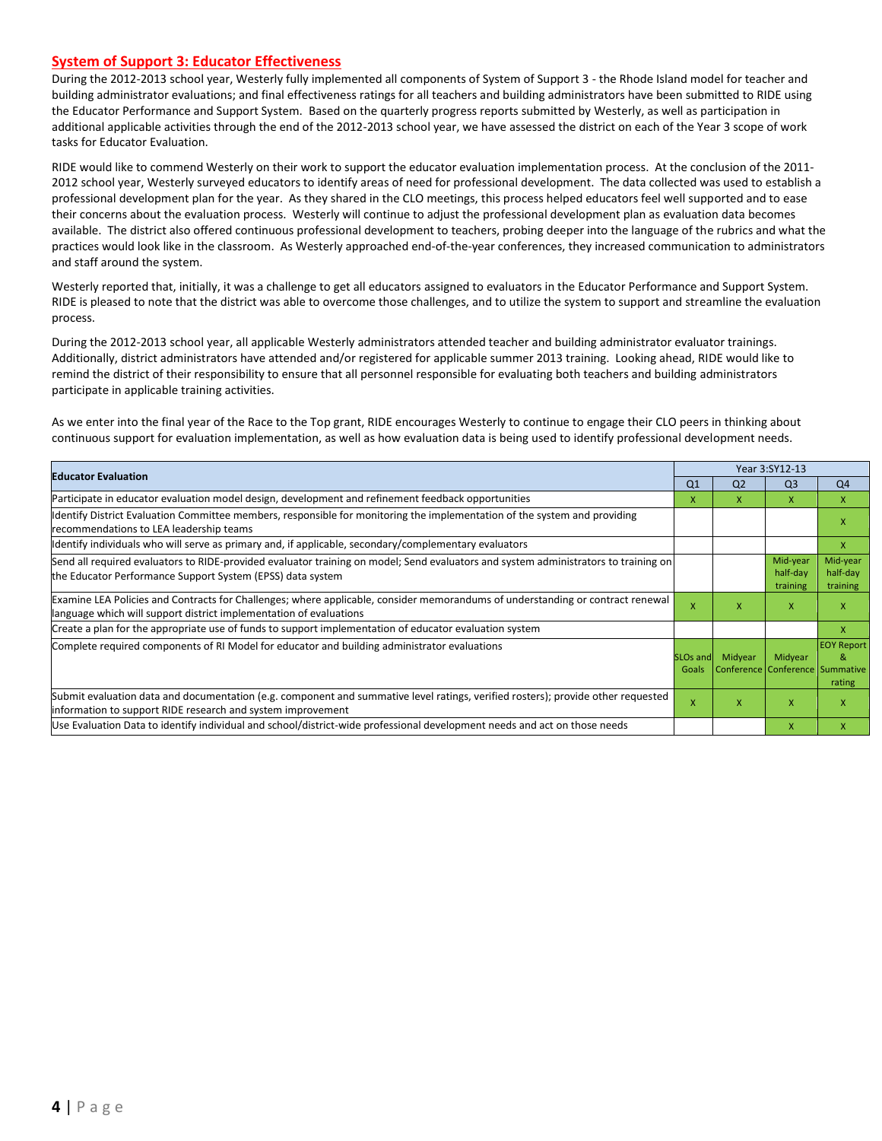#### **System of Support 3: Educator Effectiveness**

During the 2012-2013 school year, Westerly fully implemented all components of System of Support 3 - the Rhode Island model for teacher and building administrator evaluations; and final effectiveness ratings for all teachers and building administrators have been submitted to RIDE using the Educator Performance and Support System. Based on the quarterly progress reports submitted by Westerly, as well as participation in additional applicable activities through the end of the 2012-2013 school year, we have assessed the district on each of the Year 3 scope of work tasks for Educator Evaluation.

RIDE would like to commend Westerly on their work to support the educator evaluation implementation process. At the conclusion of the 2011- 2012 school year, Westerly surveyed educators to identify areas of need for professional development. The data collected was used to establish a professional development plan for the year. As they shared in the CLO meetings, this process helped educators feel well supported and to ease their concerns about the evaluation process. Westerly will continue to adjust the professional development plan as evaluation data becomes available. The district also offered continuous professional development to teachers, probing deeper into the language of the rubrics and what the practices would look like in the classroom. As Westerly approached end-of-the-year conferences, they increased communication to administrators and staff around the system.

Westerly reported that, initially, it was a challenge to get all educators assigned to evaluators in the Educator Performance and Support System. RIDE is pleased to note that the district was able to overcome those challenges, and to utilize the system to support and streamline the evaluation process.

During the 2012-2013 school year, all applicable Westerly administrators attended teacher and building administrator evaluator trainings. Additionally, district administrators have attended and/or registered for applicable summer 2013 training. Looking ahead, RIDE would like to remind the district of their responsibility to ensure that all personnel responsible for evaluating both teachers and building administrators participate in applicable training activities.

As we enter into the final year of the Race to the Top grant, RIDE encourages Westerly to continue to engage their CLO peers in thinking about continuous support for evaluation implementation, as well as how evaluation data is being used to identify professional development needs.

| <b>Educator Evaluation</b>                                                                                                                                                                           |                               |                | Year 3:SY12-13                             |                                  |
|------------------------------------------------------------------------------------------------------------------------------------------------------------------------------------------------------|-------------------------------|----------------|--------------------------------------------|----------------------------------|
|                                                                                                                                                                                                      | Q <sub>1</sub>                | Q <sub>2</sub> | Q <sub>3</sub>                             | Q <sub>4</sub>                   |
| Participate in educator evaluation model design, development and refinement feedback opportunities                                                                                                   | x                             | X.             | X                                          | X                                |
| Identify District Evaluation Committee members, responsible for monitoring the implementation of the system and providing<br>recommendations to LEA leadership teams                                 |                               |                |                                            | X                                |
| ldentify individuals who will serve as primary and, if applicable, secondary/complementary evaluators                                                                                                |                               |                |                                            | X                                |
| Send all required evaluators to RIDE-provided evaluator training on model; Send evaluators and system administrators to training on<br>the Educator Performance Support System (EPSS) data system    |                               |                | Mid-year<br>half-day<br>training           | Mid-year<br>half-day<br>training |
| Examine LEA Policies and Contracts for Challenges; where applicable, consider memorandums of understanding or contract renewal<br>language which will support district implementation of evaluations | x                             | x              | X                                          | X                                |
| Create a plan for the appropriate use of funds to support implementation of educator evaluation system                                                                                               |                               |                |                                            | X                                |
| Complete required components of RI Model for educator and building administrator evaluations                                                                                                         | SLO <sub>s</sub> and<br>Goals | Midyear        | Midyear<br>Conference Conference Summative | <b>EOY Report</b><br>&<br>rating |
| Submit evaluation data and documentation (e.g. component and summative level ratings, verified rosters); provide other requested<br>information to support RIDE research and system improvement      | X                             | x              | $\mathsf{x}$                               | X                                |
| Use Evaluation Data to identify individual and school/district-wide professional development needs and act on those needs                                                                            |                               |                | $\mathsf{x}$                               | x                                |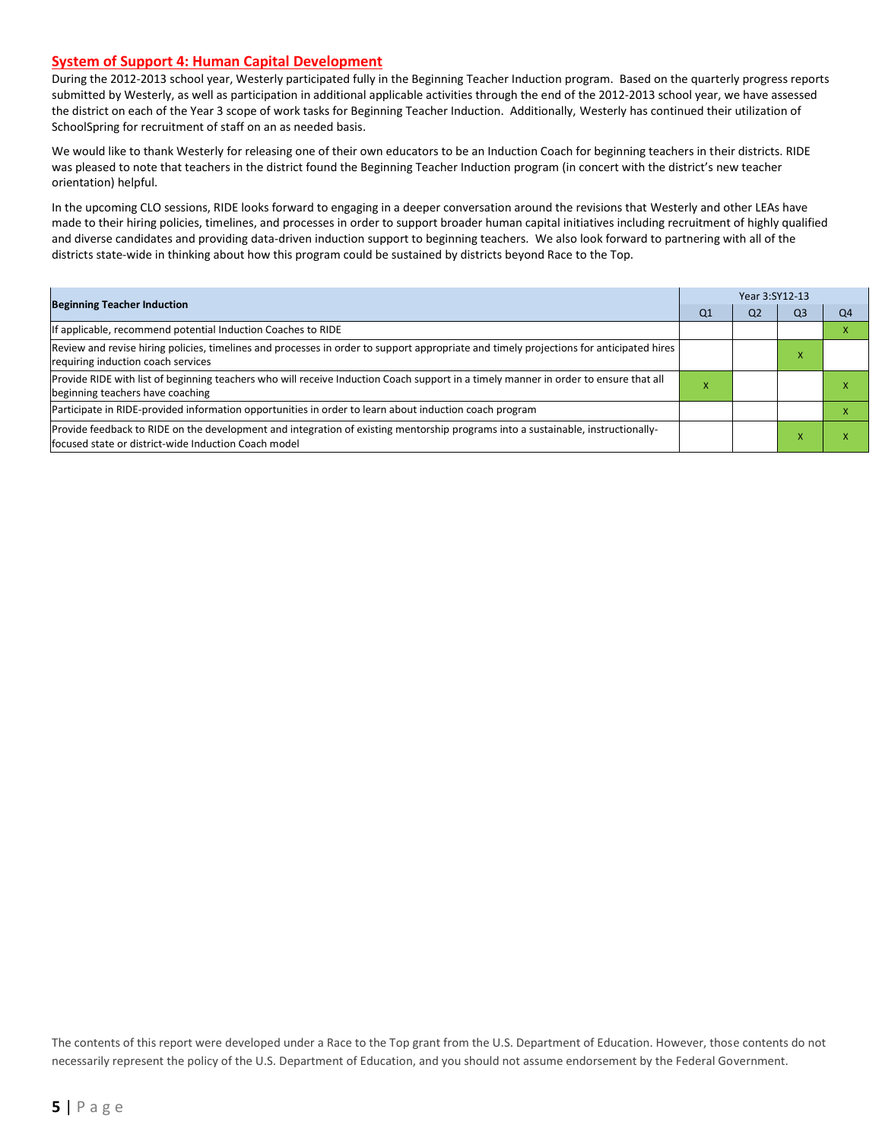#### **System of Support 4: Human Capital Development**

During the 2012-2013 school year, Westerly participated fully in the Beginning Teacher Induction program. Based on the quarterly progress reports submitted by Westerly, as well as participation in additional applicable activities through the end of the 2012-2013 school year, we have assessed the district on each of the Year 3 scope of work tasks for Beginning Teacher Induction. Additionally, Westerly has continued their utilization of SchoolSpring for recruitment of staff on an as needed basis.

We would like to thank Westerly for releasing one of their own educators to be an Induction Coach for beginning teachers in their districts. RIDE was pleased to note that teachers in the district found the Beginning Teacher Induction program (in concert with the district's new teacher orientation) helpful.

In the upcoming CLO sessions, RIDE looks forward to engaging in a deeper conversation around the revisions that Westerly and other LEAs have made to their hiring policies, timelines, and processes in order to support broader human capital initiatives including recruitment of highly qualified and diverse candidates and providing data-driven induction support to beginning teachers. We also look forward to partnering with all of the districts state-wide in thinking about how this program could be sustained by districts beyond Race to the Top.

|                                                                                                                                                                                          | Year 3:SY12-13 |    |    |    |  |  |  |
|------------------------------------------------------------------------------------------------------------------------------------------------------------------------------------------|----------------|----|----|----|--|--|--|
| <b>Beginning Teacher Induction</b>                                                                                                                                                       | Q1             | Q2 | Q3 | Q4 |  |  |  |
| If applicable, recommend potential Induction Coaches to RIDE                                                                                                                             |                |    |    |    |  |  |  |
| Review and revise hiring policies, timelines and processes in order to support appropriate and timely projections for anticipated hires<br>requiring induction coach services            |                |    |    |    |  |  |  |
| Provide RIDE with list of beginning teachers who will receive Induction Coach support in a timely manner in order to ensure that all<br>beginning teachers have coaching                 | $\lambda$      |    |    |    |  |  |  |
| Participate in RIDE-provided information opportunities in order to learn about induction coach program                                                                                   |                |    |    |    |  |  |  |
| Provide feedback to RIDE on the development and integration of existing mentorship programs into a sustainable, instructionally-<br>focused state or district-wide Induction Coach model |                |    |    |    |  |  |  |

The contents of this report were developed under a Race to the Top grant from the U.S. Department of Education. However, those contents do not necessarily represent the policy of the U.S. Department of Education, and you should not assume endorsement by the Federal Government.